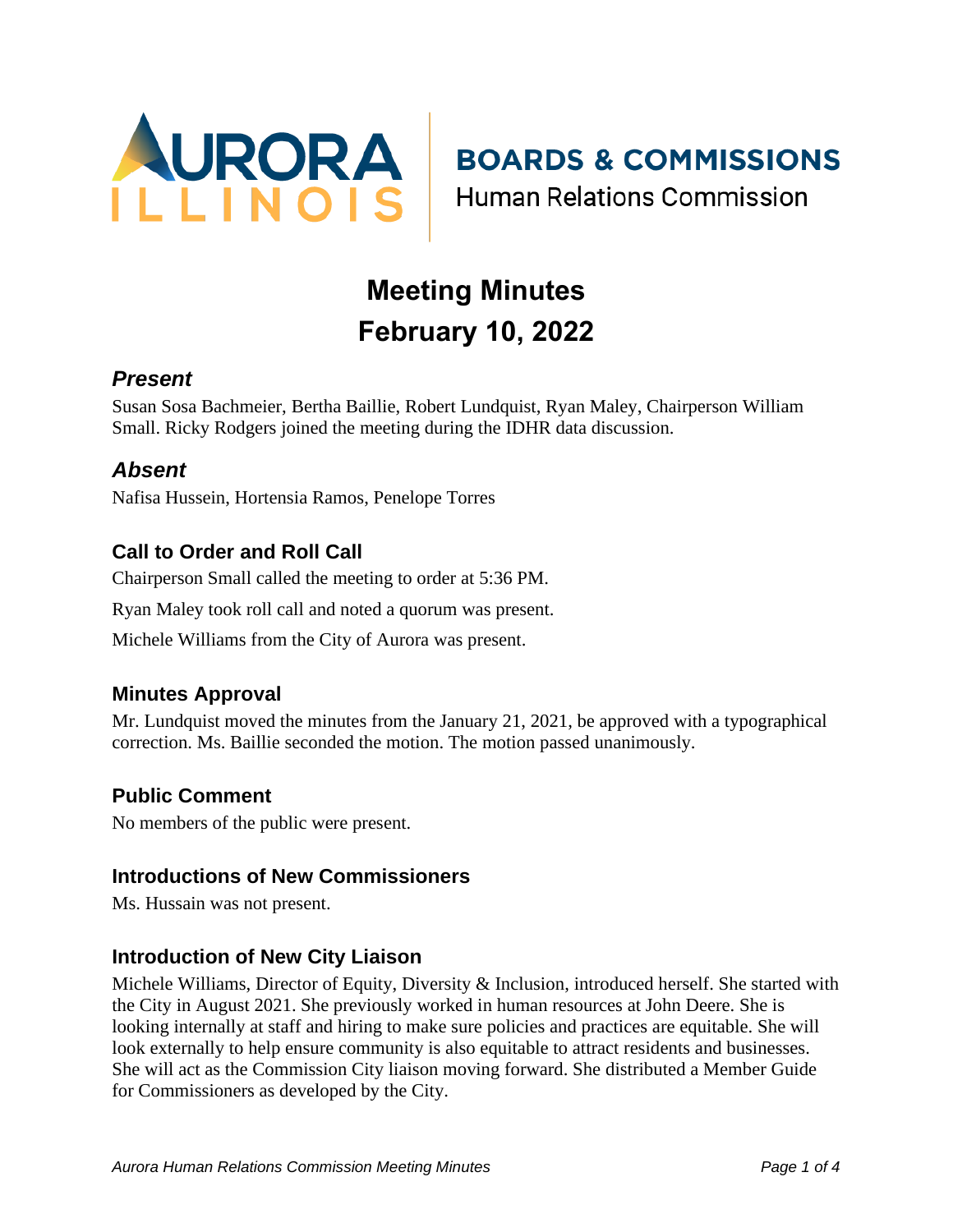

**BOARDS & COMMISSIONS** 

**Human Relations Commission** 

# **Meeting Minutes February 10, 2022**

## *Present*

Susan Sosa Bachmeier, Bertha Baillie, Robert Lundquist, Ryan Maley, Chairperson William Small. Ricky Rodgers joined the meeting during the IDHR data discussion.

## *Absent*

Nafisa Hussein, Hortensia Ramos, Penelope Torres

## **Call to Order and Roll Call**

Chairperson Small called the meeting to order at 5:36 PM.

Ryan Maley took roll call and noted a quorum was present.

Michele Williams from the City of Aurora was present.

#### **Minutes Approval**

Mr. Lundquist moved the minutes from the January 21, 2021, be approved with a typographical correction. Ms. Baillie seconded the motion. The motion passed unanimously.

#### **Public Comment**

No members of the public were present.

#### **Introductions of New Commissioners**

Ms. Hussain was not present.

## **Introduction of New City Liaison**

Michele Williams, Director of Equity, Diversity & Inclusion, introduced herself. She started with the City in August 2021. She previously worked in human resources at John Deere. She is looking internally at staff and hiring to make sure policies and practices are equitable. She will look externally to help ensure community is also equitable to attract residents and businesses. She will act as the Commission City liaison moving forward. She distributed a Member Guide for Commissioners as developed by the City.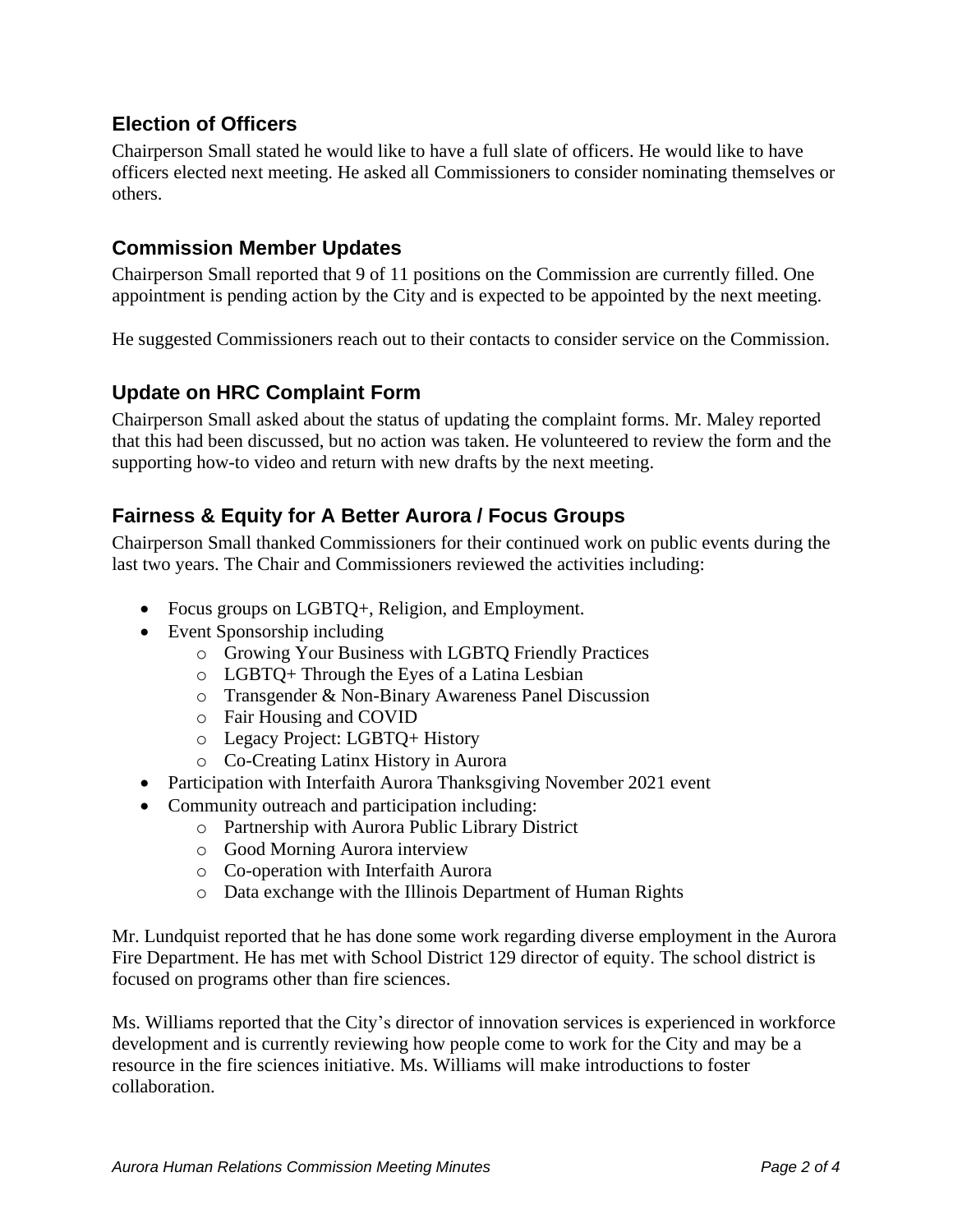## **Election of Officers**

Chairperson Small stated he would like to have a full slate of officers. He would like to have officers elected next meeting. He asked all Commissioners to consider nominating themselves or others.

#### **Commission Member Updates**

Chairperson Small reported that 9 of 11 positions on the Commission are currently filled. One appointment is pending action by the City and is expected to be appointed by the next meeting.

He suggested Commissioners reach out to their contacts to consider service on the Commission.

#### **Update on HRC Complaint Form**

Chairperson Small asked about the status of updating the complaint forms. Mr. Maley reported that this had been discussed, but no action was taken. He volunteered to review the form and the supporting how-to video and return with new drafts by the next meeting.

#### **Fairness & Equity for A Better Aurora / Focus Groups**

Chairperson Small thanked Commissioners for their continued work on public events during the last two years. The Chair and Commissioners reviewed the activities including:

- Focus groups on LGBTQ+, Religion, and Employment.
- Event Sponsorship including
	- o Growing Your Business with LGBTQ Friendly Practices
	- o LGBTQ+ Through the Eyes of a Latina Lesbian
	- o Transgender & Non-Binary Awareness Panel Discussion
	- o Fair Housing and COVID
	- o Legacy Project: LGBTQ+ History
	- o Co-Creating Latinx History in Aurora
- Participation with Interfaith Aurora Thanksgiving November 2021 event
- Community outreach and participation including:
	- o Partnership with Aurora Public Library District
	- o Good Morning Aurora interview
	- o Co-operation with Interfaith Aurora
	- o Data exchange with the Illinois Department of Human Rights

Mr. Lundquist reported that he has done some work regarding diverse employment in the Aurora Fire Department. He has met with School District 129 director of equity. The school district is focused on programs other than fire sciences.

Ms. Williams reported that the City's director of innovation services is experienced in workforce development and is currently reviewing how people come to work for the City and may be a resource in the fire sciences initiative. Ms. Williams will make introductions to foster collaboration.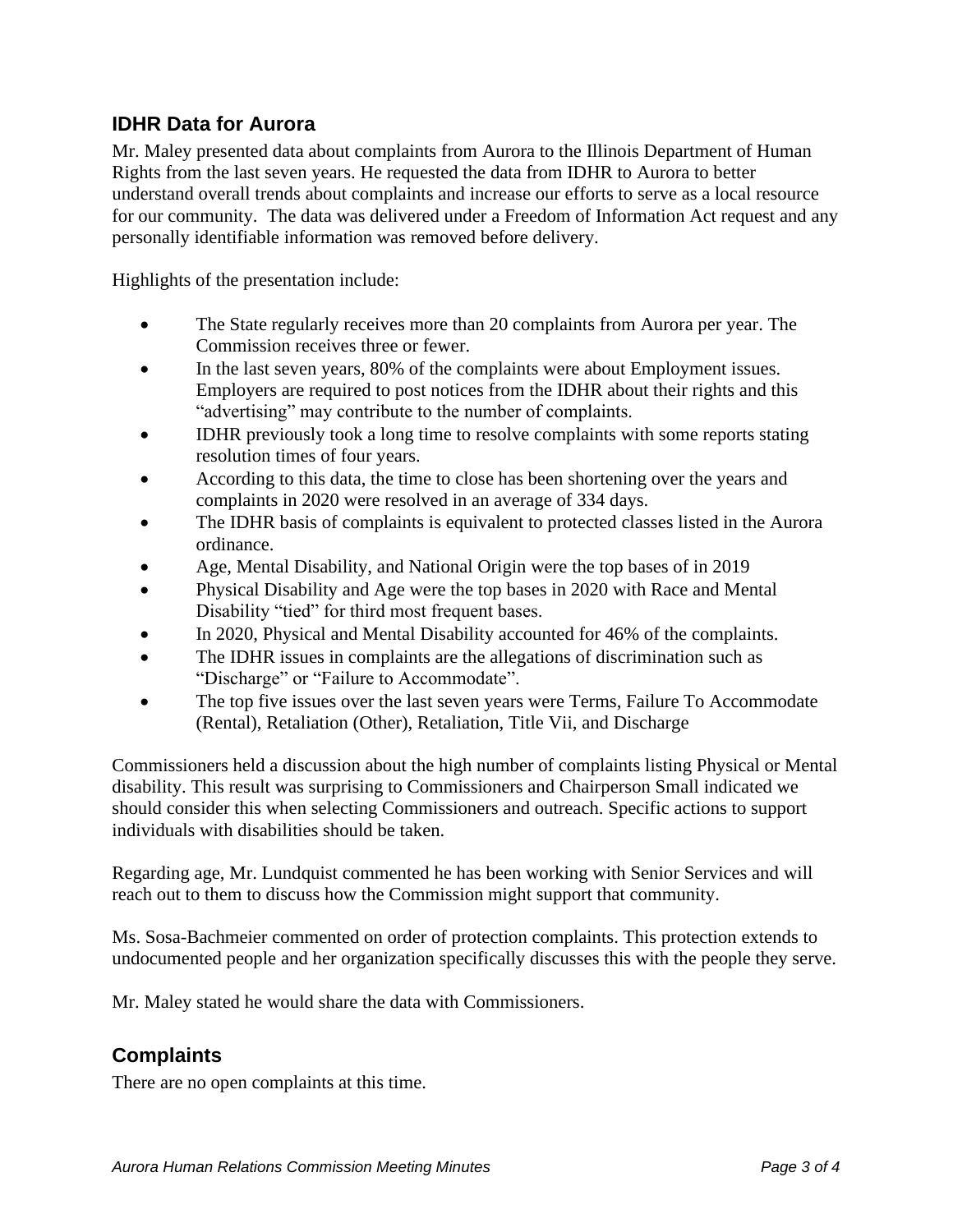## **IDHR Data for Aurora**

Mr. Maley presented data about complaints from Aurora to the Illinois Department of Human Rights from the last seven years. He requested the data from IDHR to Aurora to better understand overall trends about complaints and increase our efforts to serve as a local resource for our community. The data was delivered under a Freedom of Information Act request and any personally identifiable information was removed before delivery.

Highlights of the presentation include:

- The State regularly receives more than 20 complaints from Aurora per year. The Commission receives three or fewer.
- In the last seven years, 80% of the complaints were about Employment issues. Employers are required to post notices from the IDHR about their rights and this "advertising" may contribute to the number of complaints.
- IDHR previously took a long time to resolve complaints with some reports stating resolution times of four years.
- According to this data, the time to close has been shortening over the years and complaints in 2020 were resolved in an average of 334 days.
- The IDHR basis of complaints is equivalent to protected classes listed in the Aurora ordinance.
- Age, Mental Disability, and National Origin were the top bases of in 2019
- Physical Disability and Age were the top bases in 2020 with Race and Mental Disability "tied" for third most frequent bases.
- In 2020, Physical and Mental Disability accounted for 46% of the complaints.
- The IDHR issues in complaints are the allegations of discrimination such as "Discharge" or "Failure to Accommodate".
- The top five issues over the last seven years were Terms, Failure To Accommodate (Rental), Retaliation (Other), Retaliation, Title Vii, and Discharge

Commissioners held a discussion about the high number of complaints listing Physical or Mental disability. This result was surprising to Commissioners and Chairperson Small indicated we should consider this when selecting Commissioners and outreach. Specific actions to support individuals with disabilities should be taken.

Regarding age, Mr. Lundquist commented he has been working with Senior Services and will reach out to them to discuss how the Commission might support that community.

Ms. Sosa-Bachmeier commented on order of protection complaints. This protection extends to undocumented people and her organization specifically discusses this with the people they serve.

Mr. Maley stated he would share the data with Commissioners.

## **Complaints**

There are no open complaints at this time.